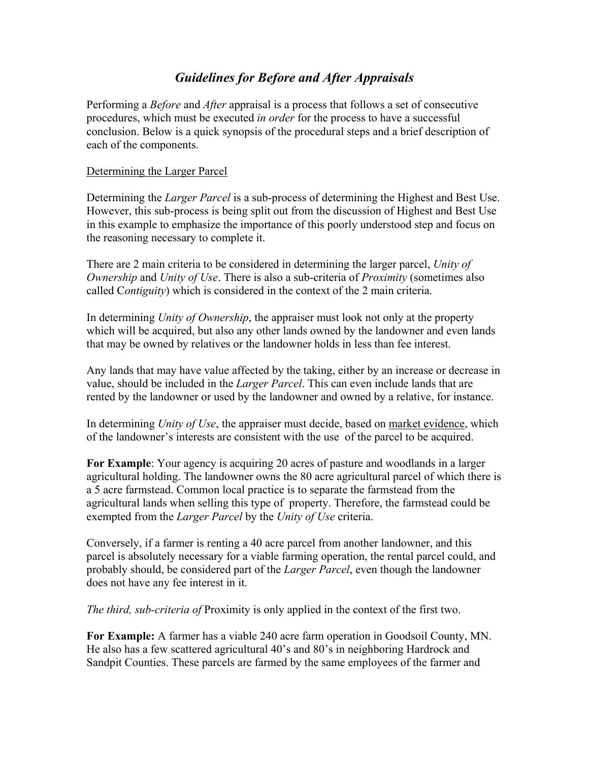# *Guidelines for Before and After Appraisals*

Performing a *Before* and *After* appraisal is a process that follows a set of consecutive procedures, which must be executed *in order* for the process to have a successful conclusion. Below is a quick synopsis of the procedural steps and a brief description of each of the components.

#### Determining the Larger Parcel

Determining the *Larger Parcel* is a sub-process of determining the Highest and Best Use. However, this sub-process is being split out from the discussion of Highest and Best Use in this example to emphasize the importance of this poorly understood step and focus on the reasoning necessary to complete it.

There are 2 main criteria to be considered in determining the larger parcel, *Unity of Ownership* and *Unity of Use*. There is also a sub-criteria of *Proximity* (sometimes also called C*ontiguity*) which is considered in the context of the 2 main criteria.

In determining *Unity of Ownership*, the appraiser must look not only at the property which will be acquired, but also any other lands owned by the landowner and even lands that may be owned by relatives or the landowner holds in less than fee interest.

Any lands that may have value affected by the taking, either by an increase or decrease in value, should be included in the *Larger Parcel*. This can even include lands that are rented by the landowner or used by the landowner and owned by a relative, for instance.

In determining *Unity of Use*, the appraiser must decide, based on market evidence, which of the landowner's interests are consistent with the use of the parcel to be acquired.

**For Example**: Your agency is acquiring 20 acres of pasture and woodlands in a larger agricultural holding. The landowner owns the 80 acre agricultural parcel of which there is a 5 acre farmstead. Common local practice is to separate the farmstead from the agricultural lands when selling this type of property. Therefore, the farmstead could be exempted from the *Larger Parcel* by the *Unity of Use* criteria.

Conversely, if a farmer is renting a 40 acre parcel from another landowner, and this parcel is absolutely necessary for a viable farming operation, the rental parcel could, and probably should, be considered part of the *Larger Parcel*, even though the landowner does not have any fee interest in it.

*The third, sub-criteria of* Proximity is only applied in the context of the first two.

**For Example:** A farmer has a viable 240 acre farm operation in Goodsoil County, MN. He also has a few scattered agricultural 40's and 80's in neighboring Hardrock and Sandpit Counties. These parcels are farmed by the same employees of the farmer and